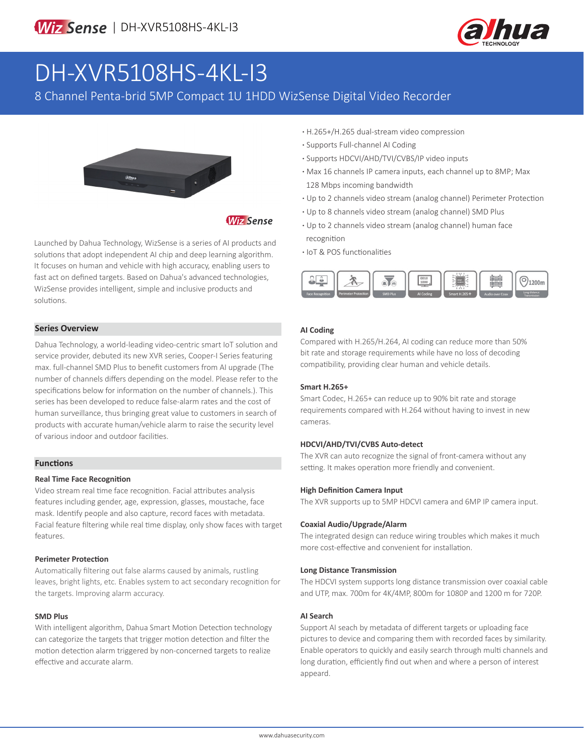

# DH-XVR5108HS-4KL-I3

8 Channel Penta-brid 5MP Compact 1U 1HDD WizSense Digital Video Recorder



# **Wiz Sense**

Launched by Dahua Technology, WizSense is a series of AI products and solutions that adopt independent AI chip and deep learning algorithm. It focuses on human and vehicle with high accuracy, enabling users to fast act on defined targets. Based on Dahua's advanced technologies, WizSense provides intelligent, simple and inclusive products and solutions.

### **Series Overview**

Dahua Technology, a world-leading video-centric smart IoT solution and service provider, debuted its new XVR series, Cooper-I Series featuring max. full-channel SMD Plus to benefit customers from AI upgrade (The number of channels differs depending on the model. Please refer to the specifications below for information on the number of channels.). This series has been developed to reduce false-alarm rates and the cost of human surveillance, thus bringing great value to customers in search of products with accurate human/vehicle alarm to raise the security level of various indoor and outdoor facilities.

#### **Functions**

#### **Real Time Face Recognition**

Video stream real time face recognition. Facial attributes analysis features including gender, age, expression, glasses, moustache, face mask. Identify people and also capture, record faces with metadata. Facial feature filtering while real time display, only show faces with target features.

#### **Perimeter Protection**

Automatically filtering out false alarms caused by animals, rustling leaves, bright lights, etc. Enables system to act secondary recognition for the targets. Improving alarm accuracy.

#### **SMD Plus**

With intelligent algorithm, Dahua Smart Motion Detection technology can categorize the targets that trigger motion detection and filter the motion detection alarm triggered by non-concerned targets to realize effective and accurate alarm.

- **·** H.265+/H.265 dual-stream video compression
- **·** Supports Full-channel AI Coding
- **·** Supports HDCVI/AHD/TVI/CVBS/IP video inputs
- **·** Max 16 channels IP camera inputs, each channel up to 8MP; Max 128 Mbps incoming bandwidth
- **·** Up to 2 channels video stream (analog channel) Perimeter Protection
- **·** Up to 8 channels video stream (analog channel) SMD Plus
- **·** Up to 2 channels video stream (analog channel) human face recognition
- **·** IoT & POS functionalities



### **AI Coding**

Compared with H.265/H.264, AI coding can reduce more than 50% bit rate and storage requirements while have no loss of decoding compatibility, providing clear human and vehicle details.

#### **Smart H.265+**

Smart Codec, H.265+ can reduce up to 90% bit rate and storage requirements compared with H.264 without having to invest in new cameras.

#### **HDCVI/AHD/TVI/CVBS Auto-detect**

The XVR can auto recognize the signal of front-camera without any setting. It makes operation more friendly and convenient.

#### **High Definition Camera Input**

The XVR supports up to 5MP HDCVI camera and 6MP IP camera input.

#### **Coaxial Audio/Upgrade/Alarm**

The integrated design can reduce wiring troubles which makes it much more cost-effective and convenient for installation.

#### **Long Distance Transmission**

The HDCVI system supports long distance transmission over coaxial cable and UTP, max. 700m for 4K/4MP, 800m for 1080P and 1200 m for 720P.

#### **AI Search**

Support AI seach by metadata of different targets or uploading face pictures to device and comparing them with recorded faces by similarity. Enable operators to quickly and easily search through multi channels and long duration, efficiently find out when and where a person of interest appeard.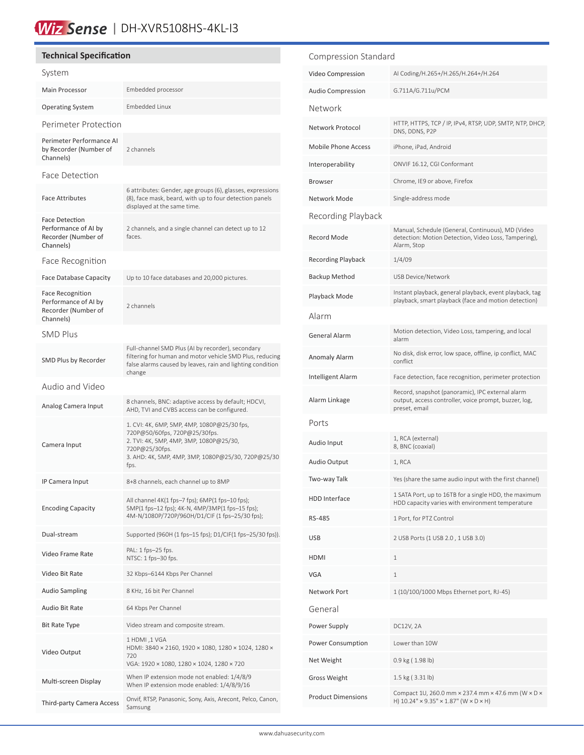# Wiz Sense | DH-XVR5108HS-4KL-13

# **Technical Specification**

| System                                                                              |                                                                                                                                                                                                         |  |  |
|-------------------------------------------------------------------------------------|---------------------------------------------------------------------------------------------------------------------------------------------------------------------------------------------------------|--|--|
| Main Processor                                                                      | Embedded processor                                                                                                                                                                                      |  |  |
| <b>Operating System</b>                                                             | <b>Embedded Linux</b>                                                                                                                                                                                   |  |  |
| Perimeter Protection                                                                |                                                                                                                                                                                                         |  |  |
| Perimeter Performance AI<br>by Recorder (Number of<br>Channels)                     | 2 channels                                                                                                                                                                                              |  |  |
| Face Detection                                                                      |                                                                                                                                                                                                         |  |  |
| <b>Face Attributes</b>                                                              | 6 attributes: Gender, age groups (6), glasses, expressions<br>(8), face mask, beard, with up to four detection panels<br>displayed at the same time.                                                    |  |  |
| <b>Face Detection</b><br>Performance of AI by<br>Recorder (Number of<br>Channels)   | 2 channels, and a single channel can detect up to 12<br>faces.                                                                                                                                          |  |  |
| Face Recognition                                                                    |                                                                                                                                                                                                         |  |  |
| <b>Face Database Capacity</b>                                                       | Up to 10 face databases and 20,000 pictures.                                                                                                                                                            |  |  |
| <b>Face Recognition</b><br>Performance of AI by<br>Recorder (Number of<br>Channels) | 2 channels                                                                                                                                                                                              |  |  |
| <b>SMD Plus</b>                                                                     |                                                                                                                                                                                                         |  |  |
| SMD Plus by Recorder                                                                | Full-channel SMD Plus (AI by recorder), secondary<br>filtering for human and motor vehicle SMD Plus, reducing<br>false alarms caused by leaves, rain and lighting condition<br>change                   |  |  |
| Audio and Video                                                                     |                                                                                                                                                                                                         |  |  |
| Analog Camera Input                                                                 | 8 channels, BNC: adaptive access by default; HDCVI,<br>AHD, TVI and CVBS access can be configured.                                                                                                      |  |  |
| Camera Input                                                                        | 1. CVI: 4K, 6MP, 5MP, 4MP, 1080P@25/30 fps,<br>720P@50/60fps, 720P@25/30fps.<br>2. TVI: 4K, 5MP, 4MP, 3MP, 1080P@25/30,<br>720P@25/30fps.<br>3. AHD: 4K, 5MP, 4MP, 3MP, 1080P@25/30, 720P@25/30<br>fps. |  |  |
| IP Camera Input                                                                     | 8+8 channels, each channel up to 8MP                                                                                                                                                                    |  |  |
| <b>Encoding Capacity</b>                                                            | All channel 4K(1 fps–7 fps); 6MP(1 fps–10 fps);<br>5MP(1 fps-12 fps); 4K-N, 4MP/3MP(1 fps-15 fps);<br>4M-N/1080P/720P/960H/D1/CIF (1 fps-25/30 fps);                                                    |  |  |
| Dual-stream                                                                         | Supported (960H (1 fps-15 fps); D1/CIF(1 fps-25/30 fps)).                                                                                                                                               |  |  |
| Video Frame Rate                                                                    | PAL: 1 fps-25 fps.<br>NTSC: 1 fps-30 fps.                                                                                                                                                               |  |  |
| Video Bit Rate                                                                      | 32 Kbps-6144 Kbps Per Channel                                                                                                                                                                           |  |  |
| <b>Audio Sampling</b>                                                               | 8 KHz, 16 bit Per Channel                                                                                                                                                                               |  |  |
| Audio Bit Rate                                                                      | 64 Kbps Per Channel                                                                                                                                                                                     |  |  |
| Bit Rate Type                                                                       | Video stream and composite stream.                                                                                                                                                                      |  |  |
| Video Output                                                                        | 1 HDMI ,1 VGA<br>HDMI: 3840 × 2160, 1920 × 1080, 1280 × 1024, 1280 ×<br>720<br>VGA: 1920 × 1080, 1280 × 1024, 1280 × 720                                                                                |  |  |
| Multi-screen Display                                                                | When IP extension mode not enabled: 1/4/8/9<br>When IP extension mode enabled: 1/4/8/9/16                                                                                                               |  |  |
| Third-party Camera Access                                                           | Onvif, RTSP, Panasonic, Sony, Axis, Arecont, Pelco, Canon,<br>Samsung                                                                                                                                   |  |  |

| Compression Standard       |                                                                                                                            |  |  |  |
|----------------------------|----------------------------------------------------------------------------------------------------------------------------|--|--|--|
| Video Compression          | AI Coding/H.265+/H.265/H.264+/H.264                                                                                        |  |  |  |
| <b>Audio Compression</b>   | G.711A/G.711u/PCM                                                                                                          |  |  |  |
| Network                    |                                                                                                                            |  |  |  |
| Network Protocol           | HTTP, HTTPS, TCP / IP, IPv4, RTSP, UDP, SMTP, NTP, DHCP,<br>DNS, DDNS, P2P                                                 |  |  |  |
| <b>Mobile Phone Access</b> | iPhone, iPad, Android                                                                                                      |  |  |  |
| Interoperability           | ONVIF 16.12, CGI Conformant                                                                                                |  |  |  |
| Browser                    | Chrome, IE9 or above, Firefox                                                                                              |  |  |  |
| Network Mode               | Single-address mode                                                                                                        |  |  |  |
| Recording Playback         |                                                                                                                            |  |  |  |
| <b>Record Mode</b>         | Manual, Schedule (General, Continuous), MD (Video<br>detection: Motion Detection, Video Loss, Tampering),<br>Alarm, Stop   |  |  |  |
| <b>Recording Playback</b>  | 1/4/09                                                                                                                     |  |  |  |
| <b>Backup Method</b>       | <b>USB Device/Network</b>                                                                                                  |  |  |  |
| Playback Mode              | Instant playback, general playback, event playback, tag<br>playback, smart playback (face and motion detection)            |  |  |  |
| Alarm                      |                                                                                                                            |  |  |  |
| <b>General Alarm</b>       | Motion detection, Video Loss, tampering, and local<br>alarm                                                                |  |  |  |
| <b>Anomaly Alarm</b>       | No disk, disk error, low space, offline, ip conflict, MAC<br>conflict                                                      |  |  |  |
| Intelligent Alarm          | Face detection, face recognition, perimeter protection                                                                     |  |  |  |
| Alarm Linkage              | Record, snapshot (panoramic), IPC external alarm<br>output, access controller, voice prompt, buzzer, log,<br>preset, email |  |  |  |
| Ports                      |                                                                                                                            |  |  |  |
| Audio Input                | 1, RCA (external)<br>8, BNC (coaxial)                                                                                      |  |  |  |
| Audio Output               | 1, RCA                                                                                                                     |  |  |  |
| Two-way Talk               | Yes (share the same audio input with the first channel)                                                                    |  |  |  |
| <b>HDD</b> Interface       | 1 SATA Port, up to 16TB for a single HDD, the maximum<br>HDD capacity varies with environment temperature                  |  |  |  |
| RS-485                     | 1 Port, for PTZ Control                                                                                                    |  |  |  |
| USB                        | 2 USB Ports (1 USB 2.0, 1 USB 3.0)                                                                                         |  |  |  |
| HDMI                       | 1                                                                                                                          |  |  |  |
| <b>VGA</b>                 | 1                                                                                                                          |  |  |  |
| Network Port               | 1 (10/100/1000 Mbps Ethernet port, RJ-45)                                                                                  |  |  |  |
| General                    |                                                                                                                            |  |  |  |
| Power Supply               | DC12V, 2A                                                                                                                  |  |  |  |
| Power Consumption          | Lower than 10W                                                                                                             |  |  |  |
| Net Weight                 | 0.9 kg (1.98 lb)                                                                                                           |  |  |  |
| Gross Weight               | 1.5 kg (3.31 lb)                                                                                                           |  |  |  |
| <b>Product Dimensions</b>  | Compact 1U, 260.0 mm × 237.4 mm × 47.6 mm (W × D ×<br>H) $10.24'' \times 9.35'' \times 1.87''$ (W $\times$ D $\times$ H)   |  |  |  |